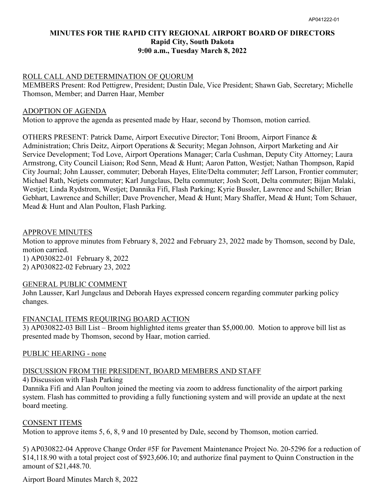## **MINUTES FOR THE RAPID CITY REGIONAL AIRPORT BOARD OF DIRECTORS Rapid City, South Dakota 9:00 a.m., Tuesday March 8, 2022**

#### ROLL CALL AND DETERMINATION OF QUORUM

MEMBERS Present: Rod Pettigrew, President; Dustin Dale, Vice President; Shawn Gab, Secretary; Michelle Thomson, Member; and Darren Haar, Member

#### ADOPTION OF AGENDA

Motion to approve the agenda as presented made by Haar, second by Thomson, motion carried.

OTHERS PRESENT: Patrick Dame, Airport Executive Director; Toni Broom, Airport Finance & Administration; Chris Deitz, Airport Operations & Security; Megan Johnson, Airport Marketing and Air Service Development; Tod Love, Airport Operations Manager; Carla Cushman, Deputy City Attorney; Laura Armstrong, City Council Liaison; Rod Senn, Mead & Hunt; Aaron Patton, Westjet; Nathan Thompson, Rapid City Journal; John Lausser, commuter; Deborah Hayes, Elite/Delta commuter; Jeff Larson, Frontier commuter; Michael Rath, Netjets commuter; Karl Jungclaus, Delta commuter; Josh Scott, Delta commuter; Bijan Malaki, Westjet; Linda Rydstrom, Westjet; Dannika Fifi, Flash Parking; Kyrie Bussler, Lawrence and Schiller; Brian Gebhart, Lawrence and Schiller; Dave Provencher, Mead & Hunt; Mary Shaffer, Mead & Hunt; Tom Schauer, Mead & Hunt and Alan Poulton, Flash Parking.

#### APPROVE MINUTES

Motion to approve minutes from February 8, 2022 and February 23, 2022 made by Thomson, second by Dale, motion carried. 1) AP030822-01 February 8, 2022

2) AP030822-02 February 23, 2022

#### GENERAL PUBLIC COMMENT

John Lausser, Karl Jungclaus and Deborah Hayes expressed concern regarding commuter parking policy changes.

#### FINANCIAL ITEMS REQUIRING BOARD ACTION

3) AP030822-03 Bill List – Broom highlighted items greater than \$5,000.00. Motion to approve bill list as presented made by Thomson, second by Haar, motion carried.

## PUBLIC HEARING - none

# DISCUSSION FROM THE PRESIDENT, BOARD MEMBERS AND STAFF

4) Discussion with Flash Parking

Dannika Fifi and Alan Poulton joined the meeting via zoom to address functionality of the airport parking system. Flash has committed to providing a fully functioning system and will provide an update at the next board meeting.

#### CONSENT ITEMS

Motion to approve items 5, 6, 8, 9 and 10 presented by Dale, second by Thomson, motion carried.

5) AP030822-04 Approve Change Order #5F for Pavement Maintenance Project No. 20-5296 for a reduction of \$14,118.90 with a total project cost of \$923,606.10; and authorize final payment to Quinn Construction in the amount of \$21,448.70.

Airport Board Minutes March 8, 2022